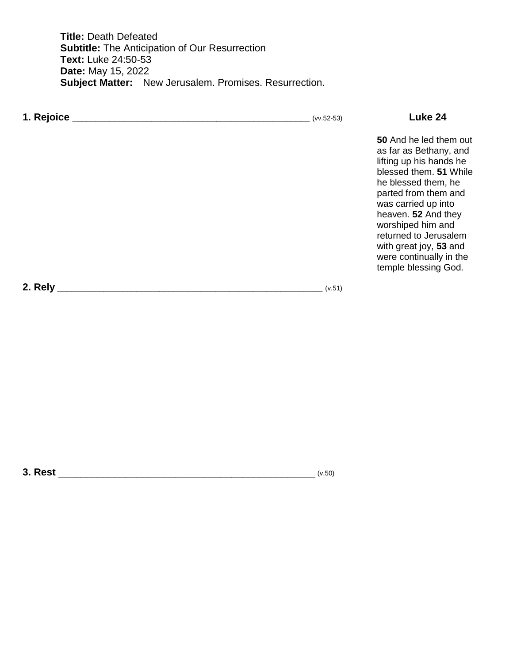**Title:** Death Defeated **Subtitle:** The Anticipation of Our Resurrection **Text:** Luke 24:50-53 **Date:** May 15, 2022 **Subject Matter:** New Jerusalem. Promises. Resurrection.

| 1. Rejoice | $(vv.52-53)$ | Luke 24                                                                                                                                                                                                                                                                                                                       |
|------------|--------------|-------------------------------------------------------------------------------------------------------------------------------------------------------------------------------------------------------------------------------------------------------------------------------------------------------------------------------|
|            |              | 50 And he led them out<br>as far as Bethany, and<br>lifting up his hands he<br>blessed them. 51 While<br>he blessed them, he<br>parted from them and<br>was carried up into<br>heaven. 52 And they<br>worshiped him and<br>returned to Jerusalem<br>with great joy, 53 and<br>were continually in the<br>temple blessing God. |
| 2. Rely    | (v.51)       |                                                                                                                                                                                                                                                                                                                               |

**3. Rest** \_\_\_\_\_\_\_\_\_\_\_\_\_\_\_\_\_\_\_\_\_\_\_\_\_\_\_\_\_\_\_\_\_\_\_\_\_\_\_\_\_\_\_\_\_\_ (v.50)